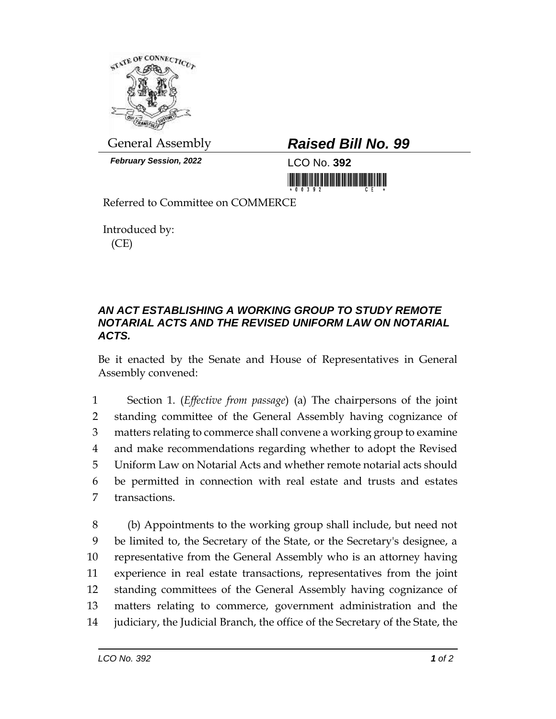

*February Session, 2022* LCO No. **392**

## General Assembly *Raised Bill No. 99*

<u>Tin in ini ini ini ini mumum mumi ni</u>

Referred to Committee on COMMERCE

Introduced by: (CE)

## *AN ACT ESTABLISHING A WORKING GROUP TO STUDY REMOTE NOTARIAL ACTS AND THE REVISED UNIFORM LAW ON NOTARIAL ACTS.*

Be it enacted by the Senate and House of Representatives in General Assembly convened:

 Section 1. (*Effective from passage*) (a) The chairpersons of the joint standing committee of the General Assembly having cognizance of matters relating to commerce shall convene a working group to examine and make recommendations regarding whether to adopt the Revised Uniform Law on Notarial Acts and whether remote notarial acts should be permitted in connection with real estate and trusts and estates transactions.

 (b) Appointments to the working group shall include, but need not be limited to, the Secretary of the State, or the Secretary's designee, a representative from the General Assembly who is an attorney having experience in real estate transactions, representatives from the joint standing committees of the General Assembly having cognizance of matters relating to commerce, government administration and the judiciary, the Judicial Branch, the office of the Secretary of the State, the